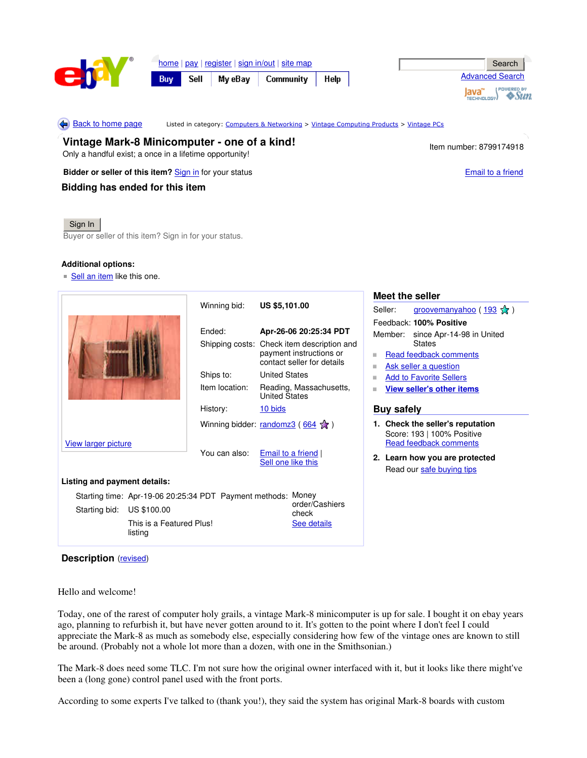

home | pay | register | sign in/out | site map Buy

Sell My eBay Community Help

|         | Search                 |  |
|---------|------------------------|--|
|         | <b>Advanced Search</b> |  |
| TECHNOL | <b>POWERED BY</b>      |  |

Back to home page

isted in category: Computers & Networking > Vintage Computing Products > Vintage PCs

**Vintage Mark-8 Minicomputer - one of a kind!** Only a handful exist; a once in a lifetime opportunity!

**Bidder or seller of this item?** Sign in for your status **Email to a friend** Email to a friend

**Bidding has ended for this item**

Item number: 8799174918

## Sign In

Buyer or seller of this item? Sign in for your status.

## **Additional options:**

Sell an item like this one.

|                                                              |                                     | Winning bid:                                   | <b>US \$5,101.00</b>                                                                |                                                                                          | Meet the seller                  |                                   |                                |  |  |
|--------------------------------------------------------------|-------------------------------------|------------------------------------------------|-------------------------------------------------------------------------------------|------------------------------------------------------------------------------------------|----------------------------------|-----------------------------------|--------------------------------|--|--|
|                                                              |                                     |                                                |                                                                                     |                                                                                          | Seller:                          |                                   | groovemanyahoo (193 %)         |  |  |
|                                                              |                                     |                                                |                                                                                     |                                                                                          | Feedback: 100% Positive          |                                   |                                |  |  |
|                                                              |                                     | Ended:                                         |                                                                                     | Apr-26-06 20:25:34 PDT                                                                   |                                  | Member: since Apr-14-98 in United |                                |  |  |
|                                                              |                                     | Shipping costs:                                | Check item description and<br>payment instructions or<br>contact seller for details |                                                                                          | <b>States</b>                    |                                   |                                |  |  |
|                                                              |                                     |                                                |                                                                                     |                                                                                          | Read feedback comments<br>ш      |                                   |                                |  |  |
|                                                              |                                     |                                                |                                                                                     |                                                                                          | Ask seller a question<br>ш       |                                   |                                |  |  |
|                                                              |                                     | Ships to:                                      | <b>United States</b>                                                                |                                                                                          | <b>Add to Favorite Sellers</b>   |                                   |                                |  |  |
|                                                              |                                     | Item location:                                 | <b>United States</b>                                                                | Reading, Massachusetts,                                                                  | <b>View seller's other items</b> |                                   |                                |  |  |
|                                                              |                                     | History:                                       | 10 bids                                                                             |                                                                                          |                                  | <b>Buy safely</b>                 |                                |  |  |
| <b>View larger picture</b>                                   |                                     | Winning bidder: randomz3 (664 $\frac{1}{28}$ ) |                                                                                     | 1. Check the seller's reputation<br>Score: 193   100% Positive<br>Read feedback comments |                                  |                                   |                                |  |  |
|                                                              |                                     | You can also:                                  | Email to a friend<br>Sell one like this                                             |                                                                                          |                                  |                                   | 2. Learn how you are protected |  |  |
|                                                              |                                     |                                                |                                                                                     |                                                                                          |                                  |                                   | Read our safe buying tips      |  |  |
| Listing and payment details:                                 |                                     |                                                |                                                                                     |                                                                                          |                                  |                                   |                                |  |  |
| Starting time: Apr-19-06 20:25:34 PDT Payment methods: Money |                                     |                                                |                                                                                     |                                                                                          |                                  |                                   |                                |  |  |
| Starting bid:                                                | US \$100.00                         |                                                |                                                                                     | order/Cashiers<br>check                                                                  |                                  |                                   |                                |  |  |
|                                                              | This is a Featured Plus!<br>listing |                                                |                                                                                     | See details                                                                              |                                  |                                   |                                |  |  |

**Description** (revised)

Hello and welcome!

Today, one of the rarest of computer holy grails, a vintage Mark-8 minicomputer is up for sale. I bought it on ebay years ago, planning to refurbish it, but have never gotten around to it. It's gotten to the point where I don't feel I could appreciate the Mark-8 as much as somebody else, especially considering how few of the vintage ones are known to still be around. (Probably not a whole lot more than a dozen, with one in the Smithsonian.)

The Mark-8 does need some TLC. I'm not sure how the original owner interfaced with it, but it looks like there might've been a (long gone) control panel used with the front ports.

According to some experts I've talked to (thank you!), they said the system has original Mark-8 boards with custom